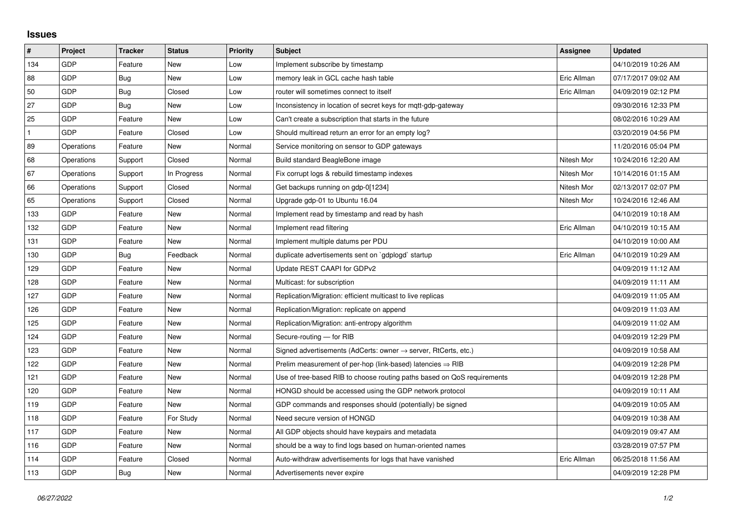## **Issues**

| $\sharp$     | Project    | <b>Tracker</b> | <b>Status</b> | <b>Priority</b> | <b>Subject</b>                                                             | Assignee    | <b>Updated</b>      |
|--------------|------------|----------------|---------------|-----------------|----------------------------------------------------------------------------|-------------|---------------------|
| 134          | GDP        | Feature        | <b>New</b>    | Low             | Implement subscribe by timestamp                                           |             | 04/10/2019 10:26 AM |
| 88           | GDP        | Bug            | New           | Low             | memory leak in GCL cache hash table                                        | Eric Allman | 07/17/2017 09:02 AM |
| 50           | GDP        | Bug            | Closed        | Low             | router will sometimes connect to itself                                    | Eric Allman | 04/09/2019 02:12 PM |
| 27           | GDP        | Bug            | New           | Low             | Inconsistency in location of secret keys for mgtt-gdp-gateway              |             | 09/30/2016 12:33 PM |
| 25           | GDP        | Feature        | <b>New</b>    | Low             | Can't create a subscription that starts in the future                      |             | 08/02/2016 10:29 AM |
| $\mathbf{1}$ | GDP        | Feature        | Closed        | Low             | Should multiread return an error for an empty log?                         |             | 03/20/2019 04:56 PM |
| 89           | Operations | Feature        | New           | Normal          | Service monitoring on sensor to GDP gateways                               |             | 11/20/2016 05:04 PM |
| 68           | Operations | Support        | Closed        | Normal          | Build standard BeagleBone image                                            | Nitesh Mor  | 10/24/2016 12:20 AM |
| 67           | Operations | Support        | In Progress   | Normal          | Fix corrupt logs & rebuild timestamp indexes                               | Nitesh Mor  | 10/14/2016 01:15 AM |
| 66           | Operations | Support        | Closed        | Normal          | Get backups running on gdp-0[1234]                                         | Nitesh Mor  | 02/13/2017 02:07 PM |
| 65           | Operations | Support        | Closed        | Normal          | Upgrade gdp-01 to Ubuntu 16.04                                             | Nitesh Mor  | 10/24/2016 12:46 AM |
| 133          | GDP        | Feature        | New           | Normal          | Implement read by timestamp and read by hash                               |             | 04/10/2019 10:18 AM |
| 132          | GDP        | Feature        | New           | Normal          | Implement read filtering                                                   | Eric Allman | 04/10/2019 10:15 AM |
| 131          | GDP        | Feature        | New           | Normal          | Implement multiple datums per PDU                                          |             | 04/10/2019 10:00 AM |
| 130          | GDP        | Bug            | Feedback      | Normal          | duplicate advertisements sent on `gdplogd` startup                         | Eric Allman | 04/10/2019 10:29 AM |
| 129          | GDP        | Feature        | <b>New</b>    | Normal          | Update REST CAAPI for GDPv2                                                |             | 04/09/2019 11:12 AM |
| 128          | GDP        | Feature        | New           | Normal          | Multicast: for subscription                                                |             | 04/09/2019 11:11 AM |
| 127          | GDP        | Feature        | New           | Normal          | Replication/Migration: efficient multicast to live replicas                |             | 04/09/2019 11:05 AM |
| 126          | GDP        | Feature        | New           | Normal          | Replication/Migration: replicate on append                                 |             | 04/09/2019 11:03 AM |
| 125          | GDP        | Feature        | New           | Normal          | Replication/Migration: anti-entropy algorithm                              |             | 04/09/2019 11:02 AM |
| 124          | GDP        | Feature        | New           | Normal          | Secure-routing - for RIB                                                   |             | 04/09/2019 12:29 PM |
| 123          | GDP        | Feature        | New           | Normal          | Signed advertisements (AdCerts: owner $\rightarrow$ server, RtCerts, etc.) |             | 04/09/2019 10:58 AM |
| 122          | GDP        | Feature        | New           | Normal          | Prelim measurement of per-hop (link-based) latencies $\Rightarrow$ RIB     |             | 04/09/2019 12:28 PM |
| 121          | GDP        | Feature        | New           | Normal          | Use of tree-based RIB to choose routing paths based on QoS requirements    |             | 04/09/2019 12:28 PM |
| 120          | GDP        | Feature        | New           | Normal          | HONGD should be accessed using the GDP network protocol                    |             | 04/09/2019 10:11 AM |
| 119          | GDP        | Feature        | New           | Normal          | GDP commands and responses should (potentially) be signed                  |             | 04/09/2019 10:05 AM |
| 118          | GDP        | Feature        | For Study     | Normal          | Need secure version of HONGD                                               |             | 04/09/2019 10:38 AM |
| 117          | GDP        | Feature        | New           | Normal          | All GDP objects should have keypairs and metadata                          |             | 04/09/2019 09:47 AM |
| 116          | GDP        | Feature        | New           | Normal          | should be a way to find logs based on human-oriented names                 |             | 03/28/2019 07:57 PM |
| 114          | GDP        | Feature        | Closed        | Normal          | Auto-withdraw advertisements for logs that have vanished                   | Eric Allman | 06/25/2018 11:56 AM |
| 113          | GDP        | Bug            | New           | Normal          | Advertisements never expire                                                |             | 04/09/2019 12:28 PM |